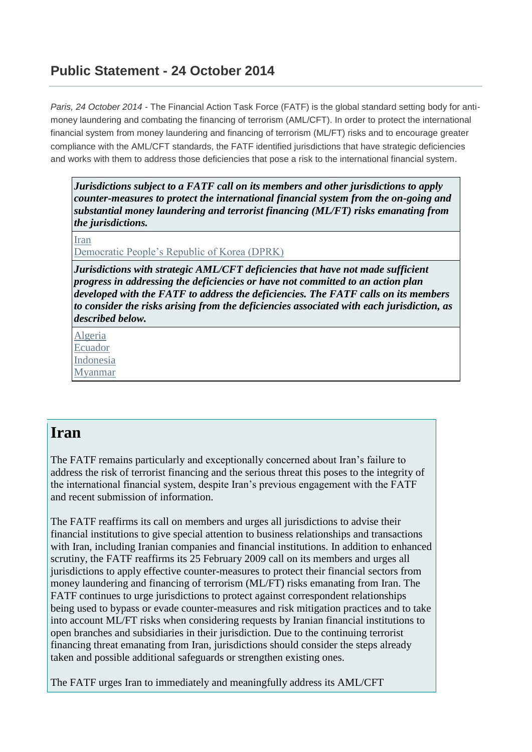#### **Public Statement - 24 October 2014**

*Paris, 24 October 2014 -* The Financial Action Task Force (FATF) is the global standard setting body for antimoney laundering and combating the financing of terrorism (AML/CFT). In order to protect the international financial system from money laundering and financing of terrorism (ML/FT) risks and to encourage greater compliance with the AML/CFT standards, the FATF identified jurisdictions that have strategic deficiencies and works with them to address those deficiencies that pose a risk to the international financial system.

*Jurisdictions subject to a FATF call on its members and other jurisdictions to apply counter-measures to protect the international financial system from the on-going and substantial money laundering and terrorist financing (ML/FT) risks emanating from the jurisdictions.*

[Iran](http://www.fatf-gafi.org/documents/news/public-statement-oct2014.html#iran)

[Democratic People's Republic of Korea \(DPRK\)](http://www.fatf-gafi.org/documents/news/public-statement-oct2014.html#DPRK)

*Jurisdictions with strategic AML/CFT deficiencies that have not made sufficient progress in addressing the deficiencies or have not committed to an action plan developed with the FATF to address the deficiencies. The FATF calls on its members to consider the risks arising from the deficiencies associated with each jurisdiction, as described below.*

[Algeria](http://www.fatf-gafi.org/documents/news/public-statement-oct2014.html#Algeria) [Ecuador](http://www.fatf-gafi.org/documents/news/public-statement-oct2014.html#Ecuador) [Indonesia](http://www.fatf-gafi.org/documents/news/public-statement-oct2014.html#indonesia) [Myanmar](http://www.fatf-gafi.org/documents/news/public-statement-oct2014.html#myanmar)

#### **Iran**

The FATF remains particularly and exceptionally concerned about Iran's failure to address the risk of terrorist financing and the serious threat this poses to the integrity of the international financial system, despite Iran's previous engagement with the FATF and recent submission of information.

The FATF reaffirms its call on members and urges all jurisdictions to advise their financial institutions to give special attention to business relationships and transactions with Iran, including Iranian companies and financial institutions. In addition to enhanced scrutiny, the FATF reaffirms its 25 February 2009 call on its members and urges all jurisdictions to apply effective counter-measures to protect their financial sectors from money laundering and financing of terrorism (ML/FT) risks emanating from Iran. The FATF continues to urge jurisdictions to protect against correspondent relationships being used to bypass or evade counter-measures and risk mitigation practices and to take into account ML/FT risks when considering requests by Iranian financial institutions to open branches and subsidiaries in their jurisdiction. Due to the continuing terrorist financing threat emanating from Iran, jurisdictions should consider the steps already taken and possible additional safeguards or strengthen existing ones.

The FATF urges Iran to immediately and meaningfully address its AML/CFT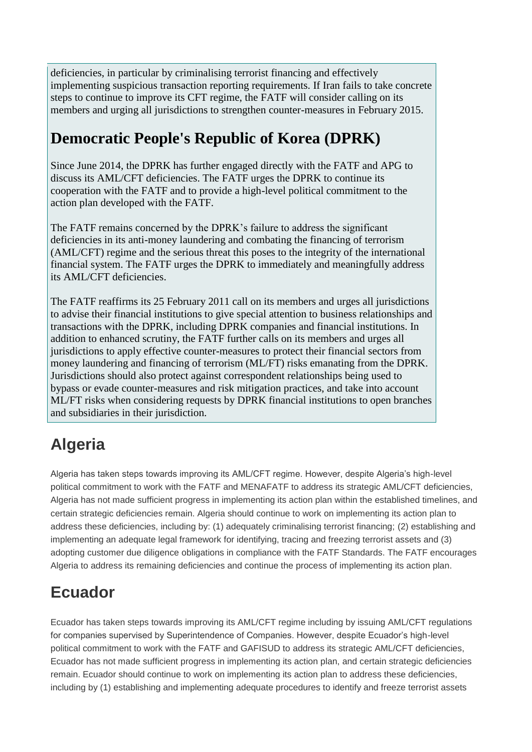deficiencies, in particular by criminalising terrorist financing and effectively implementing suspicious transaction reporting requirements. If Iran fails to take concrete steps to continue to improve its CFT regime, the FATF will consider calling on its members and urging all jurisdictions to strengthen counter-measures in February 2015.

#### **Democratic People's Republic of Korea (DPRK)**

Since June 2014, the DPRK has further engaged directly with the FATF and APG to discuss its AML/CFT deficiencies. The FATF urges the DPRK to continue its cooperation with the FATF and to provide a high-level political commitment to the action plan developed with the FATF.

The FATF remains concerned by the DPRK's failure to address the significant deficiencies in its anti-money laundering and combating the financing of terrorism (AML/CFT) regime and the serious threat this poses to the integrity of the international financial system. The FATF urges the DPRK to immediately and meaningfully address its AML/CFT deficiencies.

The FATF reaffirms its 25 February 2011 call on its members and urges all jurisdictions to advise their financial institutions to give special attention to business relationships and transactions with the DPRK, including DPRK companies and financial institutions. In addition to enhanced scrutiny, the FATF further calls on its members and urges all jurisdictions to apply effective counter-measures to protect their financial sectors from money laundering and financing of terrorism (ML/FT) risks emanating from the DPRK. Jurisdictions should also protect against correspondent relationships being used to bypass or evade counter-measures and risk mitigation practices, and take into account ML/FT risks when considering requests by DPRK financial institutions to open branches and subsidiaries in their jurisdiction.

# **Algeria**

Algeria has taken steps towards improving its AML/CFT regime. However, despite Algeria's high-level political commitment to work with the FATF and MENAFATF to address its strategic AML/CFT deficiencies, Algeria has not made sufficient progress in implementing its action plan within the established timelines, and certain strategic deficiencies remain. Algeria should continue to work on implementing its action plan to address these deficiencies, including by: (1) adequately criminalising terrorist financing; (2) establishing and implementing an adequate legal framework for identifying, tracing and freezing terrorist assets and (3) adopting customer due diligence obligations in compliance with the FATF Standards. The FATF encourages Algeria to address its remaining deficiencies and continue the process of implementing its action plan.

# **Ecuador**

Ecuador has taken steps towards improving its AML/CFT regime including by issuing AML/CFT regulations for companies supervised by Superintendence of Companies. However, despite Ecuador's high-level political commitment to work with the FATF and GAFISUD to address its strategic AML/CFT deficiencies, Ecuador has not made sufficient progress in implementing its action plan, and certain strategic deficiencies remain. Ecuador should continue to work on implementing its action plan to address these deficiencies, including by (1) establishing and implementing adequate procedures to identify and freeze terrorist assets